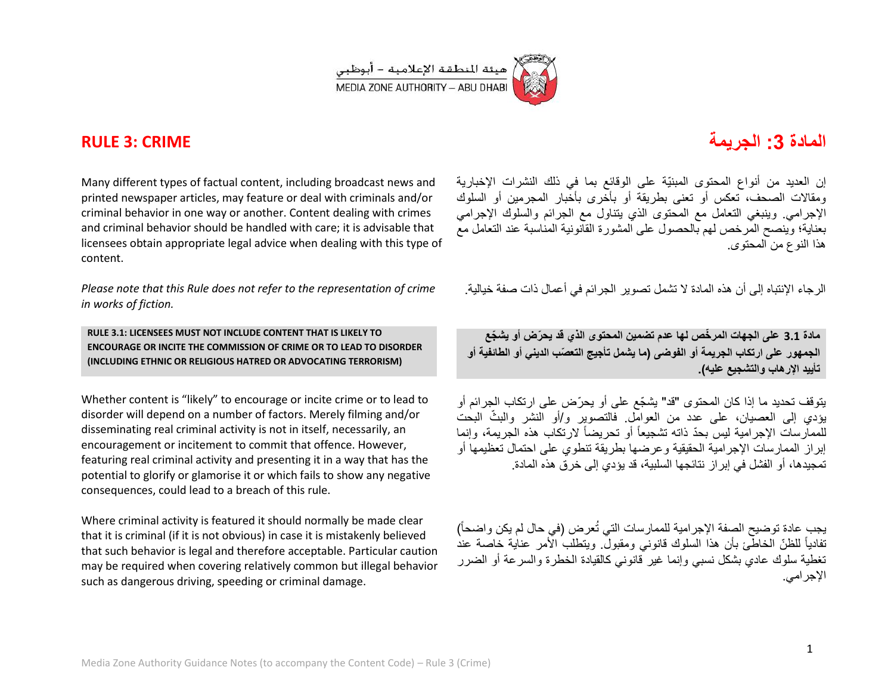

## **المادة :3 الجرٌمة CRIME 3: RULE**

Many different types of factual content, including broadcast news and printed newspaper articles, may feature or deal with criminals and/or criminal behavior in one way or another. Content dealing with crimes and criminal behavior should be handled with care; it is advisable that licensees obtain appropriate legal advice when dealing with this type of content.

*Please note that this Rule does not refer to the representation of crime in works of fiction.*

**RULE 3.1: LICENSEES MUST NOT INCLUDE CONTENT THAT IS LIKELY TO ENCOURAGE OR INCITE THE COMMISSION OF CRIME OR TO LEAD TO DISORDER (INCLUDING ETHNIC OR RELIGIOUS HATRED OR ADVOCATING TERRORISM)**

Whether content is "likely" to encourage or incite crime or to lead to disorder will depend on a number of factors. Merely filming and/or disseminating real criminal activity is not in itself, necessarily, an encouragement or incitement to commit that offence. However, featuring real criminal activity and presenting it in a way that has the potential to glorify or glamorise it or which fails to show any negative consequences, could lead to a breach of this rule.

Where criminal activity is featured it should normally be made clear that it is criminal (if it is not obvious) in case it is mistakenly believed that such behavior is legal and therefore acceptable. Particular caution may be required when covering relatively common but illegal behavior such as dangerous driving, speeding or criminal damage.

إن العديد من أنواع المحتوى المبنيّة على الوقائع بما في ذلك النشرات الإخبارية ومقالات الصحف، تعكس أو تعنى بطريقة أو بأخرى بأخبار المجرمين أو السلوك الإجرامي. وينبغي التعامل مع المحتوى الذي يتناول مع الجرائم والسلوك الإجرامي بعناية؛ وٌبنصح المرخص لهم بالحصول على المشورة القانونية المناسبة عند التعامل مع هذا النوع من المحتوى.

الر جاء الإنتباه إلى أن هذه المادة لا تشمل تصوير الجر ائم في أعمال ذات صفة خبالبة.

**مادة 1.3 على الجهات المر ّخص لها عدم تضمٌن المحتوى الذي قد ٌح ّرض أو ٌش ّجع** الجمهور على ارتكاب الجريمة أو الفوضى (ما يشمل تأجيج التعصّب الديني أو الطائفية أو تأييد الإرهاب والتشجيع عليه).

يتوقف تحديد ما إذا كان المحتوى "قد" يشجّع على أو يحرّض على ارتكاب الجرائم أو يؤدي إلى العصيان، على عدد من العوامل. فالتصوير و/أو النشر والبثّ البحت للممارسات الإجرامية ليس بحدّ ذاته تشجيعاً أو تحريضاً لارتكاب هذه الجريمة، وإنما إبراز الممارسات الإجرامية الحقيقية وعرضها بطريقة تنطوي على احتمال تعظيمها أو تمجيدها، أو الفشل في إبر از نتائجها السلبية، قد يؤدي إلى خرق هذه المادة.

يجب عادة توضيح الصفة الإجرامية للممارسات التي تُعرض (في حال لم يكن واضحاً) تفادياً للظنّ الخاطّئ بأن هذا السلوك قانونـى ومقبولٌ. ويتطلبُ الْأمر عناية خاصـة عند تغطية سلوك عادي بشكل نسبي وإنما غير قانوني كالقيادة الخطرة والسرعة أو الضرر الإجر امے..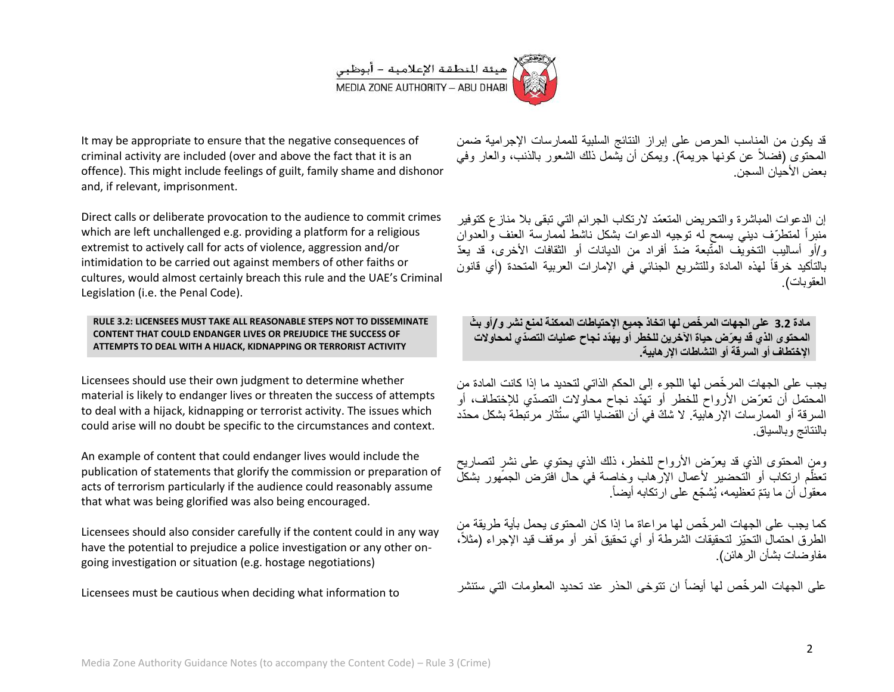

It may be appropriate to ensure that the negative consequences of criminal activity are included (over and above the fact that it is an offence). This might include feelings of guilt, family shame and dishonor and, if relevant, imprisonment.

Direct calls or deliberate provocation to the audience to commit crimes which are left unchallenged e.g. providing a platform for a religious extremist to actively call for acts of violence, aggression and/or intimidation to be carried out against members of other faiths or cultures, would almost certainly breach this rule and the UAE's Criminal Legislation (i.e. the Penal Code).

**RULE 3.2: LICENSEES MUST TAKE ALL REASONABLE STEPS NOT TO DISSEMINATE CONTENT THAT COULD ENDANGER LIVES OR PREJUDICE THE SUCCESS OF ATTEMPTS TO DEAL WITH A HIJACK, KIDNAPPING OR TERRORIST ACTIVITY**

Licensees should use their own judgment to determine whether material is likely to endanger lives or threaten the success of attempts to deal with a hijack, kidnapping or terrorist activity. The issues which could arise will no doubt be specific to the circumstances and context.

An example of content that could endanger lives would include the publication of statements that glorify the commission or preparation of acts of terrorism particularly if the audience could reasonably assume that what was being glorified was also being encouraged.

Licensees should also consider carefully if the content could in any way have the potential to prejudice a police investigation or any other ongoing investigation or situation (e.g. hostage negotiations)

Licensees must be cautious when deciding what information to

قد يكون من المناسب الحرص على إبراز النتائج السلبية للممارسات الإجرامية ضمن المحتوى (فضلاً عن كونها جريمة). ويمكن أن يُشمل ذلك الشعور بالذنب، والعار وفي بعض الأحبان السجن.

إن الدعوات المباشر ة والتحر بض المتعمّد لار تكاب الجر ائم التي تبقى بلا مناز ع كتوفير منبراً لمنطرّف ديني يسمح له توجيه الدعوات بشكل ناشط لممارسة العنف والعدوان و/أو أساليب التخويّف المتّبعة ضدّ أفراد من الديانات أو الثقافات الأخرى، قد يعدّ بالتأكيد خرقاً لمهذه المادة وللتشريع الجنائى فى الإمارات العربية المتحدة (أي قانون العقوبات).

**مادة 1.3 على الجهات المر ّخص لها اتخاذ جمٌع اإلحتٌاطات الممكنة لمنع نشر و/أو ب ّث المحتوى الذي قد ٌعّرض حٌاة اآلخرٌن للخطر أو ٌهّدد نجاح عملٌات التصّدي لمحاوالت اإلختطاف أو السرقة أو النشاطات اإلرهابٌة.**

يجب على الجهات المر خّص لها اللجوء إلى الحكم الذاتي لتحديد ما إذا كانت المادة من المحتمل أن تعرّض الأرواح للخطر أو تهدّد نجاح محاولات التصدّي للإختطاف، أو السرقة أو الممارسات الإرهاّبية. لا شكّ في أن القضّايا التي ستُثار مرتّبطة بشكل محدّد بالنتائج وبالسباق.

ومنِ المحتوى الذي قد يعرّض الأرواح للخطر، ذلك الذي يحتوي على نشرٍ لتصاريح تعظّم ارتكاب أو التحضير لأعمال الإرهاب وخاصة في حال افتّرض الجمهور بشكلّ معقول أن ما يتمّ تعظيمه، يُشجّع على ارتكابه أيضاً<sub>.</sub>

كما يجب على الجهات المرخّص لها مراعاة ما إذا كان المحتوى يحمل بأية طريقة من الطرق احتمال التحيّز لتحقيقات الشرطة أو أي تحقيق آخر أو موقف قيد الإجراء (مثلاً، مفاوضات بشأن الرهائن(.

على الجهات المرخّص لها أيضاً ان تتوخى الحذر عند تحديد المعلومات التي ستنشر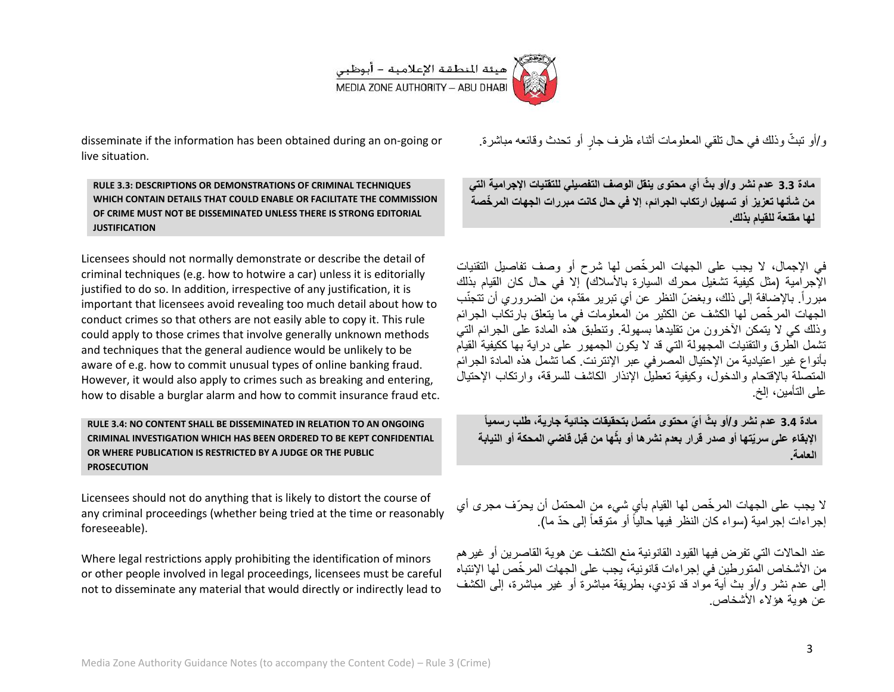

disseminate if the information has been obtained during an on-going or live situation.

**RULE 3.3: DESCRIPTIONS OR DEMONSTRATIONS OF CRIMINAL TECHNIQUES WHICH CONTAIN DETAILS THAT COULD ENABLE OR FACILITATE THE COMMISSION OF CRIME MUST NOT BE DISSEMINATED UNLESS THERE IS STRONG EDITORIAL JUSTIFICATION**

Licensees should not normally demonstrate or describe the detail of criminal techniques (e.g. how to hotwire a car) unless it is editorially justified to do so. In addition, irrespective of any justification, it is important that licensees avoid revealing too much detail about how to conduct crimes so that others are not easily able to copy it. This rule could apply to those crimes that involve generally unknown methods and techniques that the general audience would be unlikely to be aware of e.g. how to commit unusual types of online banking fraud. However, it would also apply to crimes such as breaking and entering, how to disable a burglar alarm and how to commit insurance fraud etc.

## **RULE 3.4: NO CONTENT SHALL BE DISSEMINATED IN RELATION TO AN ONGOING CRIMINAL INVESTIGATION WHICH HAS BEEN ORDERED TO BE KEPT CONFIDENTIAL OR WHERE PUBLICATION IS RESTRICTED BY A JUDGE OR THE PUBLIC PROSECUTION**

Licensees should not do anything that is likely to distort the course of any criminal proceedings (whether being tried at the time or reasonably foreseeable).

Where legal restrictions apply prohibiting the identification of minors or other people involved in legal proceedings, licensees must be careful not to disseminate any material that would directly or indirectly lead to

و/أو تبثُّ وذلك في حال تلقي المعلومات أثناء ظرف جارٍ أو تحدث وقائعه مباشرة.

**مادة 1.1 عدم نشر و/أو ب ّث أي محتوى ٌنقل الوصف التفصٌلً للتقنٌات اإلجرامٌة التً من شأنها تعزٌز أو تسهٌل ارتكاب الجرائم، إال فً حال كانت مبررات الجهات المر ّخصة لها مقنعة للقٌام بذلك.**

في الإجمال، لا يجب على الجهات المرخّص لها شرح أو وصف تفاصيل التقنيات الإجرامية (مثل كيفية تشغيل محرك السيارة بالأسلاك) إلا في حال كان القيام بذلك مبرراً. بالإضافة إلى ذلك، وبغضّ النظر عن أي تبرير مقدّم، من الضروري أن تتجنّب الجهات المرخّص لها الكشف عن الكثير من المعلومات في ما يتعلق بارتكاب الجرائم وذلك كي لا يتمكن الأخرون من تقليدها بسهولة. وتنطبق هذه المادة على الجرائم التي تشمل الطرق والتقنيات المجهولة التي قد لا يكون الجمهور على دراية بها ككيفية القيام بأنواع غير اعتيادية من الإحتيال المصرفي عبر الإنترنت. كما تشمل هذه المادة الجرائم المتصلة بالاقتحام والدخول، وكبفية تعطيلُ الإنذار الكاشف للسرقة، وارتكاب الإحتيالُ على التأمين، إلخ.

**مادة 1.3 عدم نشر و/أو ب ّث أ ّي محتوى مّتصل بتحقٌقات جنائٌة جارٌة، ُطلب رسمٌاً اإلبقاء على سرٌّتها أو صدر قرار بعدم نشرها أو بثّها من قبل قاضً المحكة أو النٌابة العامة.**

لا يجب على الجهات المرخّص لها القيام بأي شيء من المحتمل أن يحرّف مجرى أي إجراءات إجرامية (سواء كان النظر فيها حالياً أو متوقعاً إلى حدّ ما).

عند الحالات التي تفرض فيها القيود القانونية منع الكشف عن هوية القاصرين أو غير هم من الأشخاص المتور طبن في إجر اءات قانونية، بجب على الجهات المر خّص لها الإنتباه إلى عدم نشر و/أو بث أية مواد قد نؤدي، بطريقة مباشرة أو غير مباشرة، إلى الكشف عن هوية هؤلاء الأشخاص.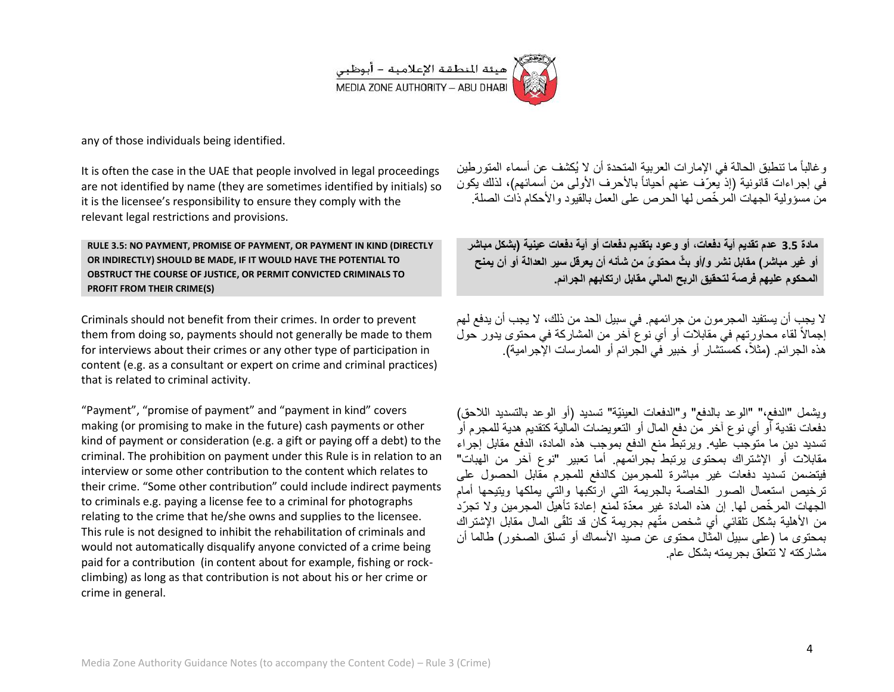

any of those individuals being identified.

It is often the case in the UAE that people involved in legal proceedings are not identified by name (they are sometimes identified by initials) so it is the licensee's responsibility to ensure they comply with the relevant legal restrictions and provisions.

**RULE 3.5: NO PAYMENT, PROMISE OF PAYMENT, OR PAYMENT IN KIND (DIRECTLY OR INDIRECTLY) SHOULD BE MADE, IF IT WOULD HAVE THE POTENTIAL TO OBSTRUCT THE COURSE OF JUSTICE, OR PERMIT CONVICTED CRIMINALS TO PROFIT FROM THEIR CRIME(S)**

Criminals should not benefit from their crimes. In order to prevent them from doing so, payments should not generally be made to them for interviews about their crimes or any other type of participation in content (e.g. as a consultant or expert on crime and criminal practices) that is related to criminal activity.

"Payment", "promise of payment" and "payment in kind" covers making (or promising to make in the future) cash payments or other kind of payment or consideration (e.g. a gift or paying off a debt) to the criminal. The prohibition on payment under this Rule is in relation to an interview or some other contribution to the content which relates to their crime. "Some other contribution" could include indirect payments to criminals e.g. paying a license fee to a criminal for photographs relating to the crime that he/she owns and supplies to the licensee. This rule is not designed to inhibit the rehabilitation of criminals and would not automatically disqualify anyone convicted of a crime being paid for a contribution (in content about for example, fishing or rockclimbing) as long as that contribution is not about his or her crime or crime in general.

و غالباً ما تنطبق الحالة في الإمار ات العربية المتحدة أن لا يُكشف عن أسماء المتور طين في إجراءات قانونية (إذ يعرّف عنهم أحياناً بالأحرف الأولى من أسمائهم)، لذلك يكون من مسؤولية الجهات المرخّص لها الحرص على العمل بالقيود والأحكام ذات الصلة.

**مادة 1.3 عدم تقدٌم أٌة دفعات، أو وعود بتقدٌم دفعات أو أٌة دفعات عٌنٌة )بشكل مباشر أو غٌر مباشر( مقابل نشر و/أو ب ّث محتو ًى من شأنه أن ٌعرقل سٌر العدالة أو أن ٌمنح المحكوم علٌهم فرصة لتحقٌق الربح المالً مقابل ارتكابهم الجرائم.**

لا يجب أن يستفيد المجرمون من جرائمهم. في سبيل الحد من ذلك، لا يجب أن يدفع لهم إجمالاً لقاء محاورتهم في مقابلات أو أي نوع آخر من المشاركة في محتوى يدور حول هذه الجرائم. (مثلاً، كمستشار أو خبير في الجرائم أو الممارسات الإجرامية).

ويشمل "الدفع،" "الوعد بالدفع" و"الدفعات العينيّة" تسديد (أو الوعد بالتسديد اللاحق) دّفعات نقدية أو أي نوع آخر من دفع المال أو التعويضات المالية كتقديم هدية للمجرم أو تسديد دين ما متوجب عليه. ويرتبط منع الدفع بموجب هذه المادة، الدفع مقابل إجراء مقابلات أو الإشتراك بمحتوى يرتبط بجرائمهم. أما تعبير "نوع آخر من الهبات" فيتضمن تسديد دفعات غير مباشرة للمجرمين كالدفع للمجرم مقابل الحصول على ترخيص استعمال الصور الخاصة بالجريمة التي ارتكبها والتي بملكها ويتيحها أمام الجهات المر خّص لها. إن هذه المادة غير ًمعدّة لمنع إعادة تأهبلّ المجرمين والا تجرّد من الأهلية بشكل تلقائي أي شخص متّهم بجريمة كان قد تلقّى المال مقابل الاشتر اك بمحتوى ما (على سبيل المثال محتوى عن صيد الأسماك أو تسلق الصخور) طالما أن مشار كته لا تتعلق بجر بمته بشكل عام.